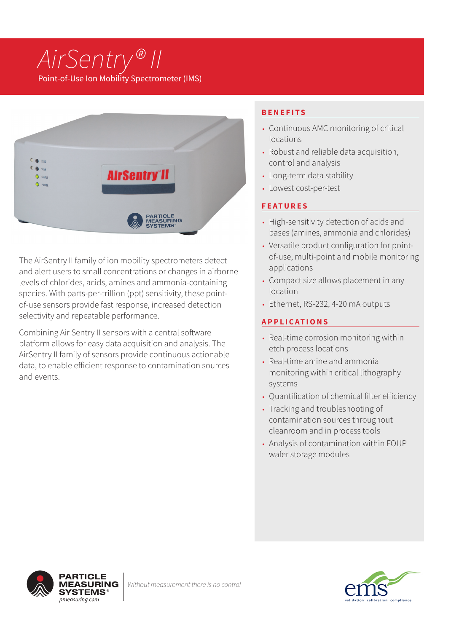# *AirSentry® II* Point-of-Use Ion Mobility Spectrometer (IMS)



The AirSentry II family of ion mobility spectrometers detect and alert users to small concentrations or changes in airborne levels of chlorides, acids, amines and ammonia-containing species. With parts-per-trillion (ppt) sensitivity, these pointof-use sensors provide fast response, increased detection selectivity and repeatable performance.

Combining Air Sentry II sensors with a central software platform allows for easy data acquisition and analysis. The AirSentry II family of sensors provide continuous actionable data, to enable efficient response to contamination sources and events.

# **BENEFITS**

- Continuous AMC monitoring of critical locations
- Robust and reliable data acquisition, control and analysis
- Long-term data stability
- Lowest cost-per-test

## **FEATURES**

- High-sensitivity detection of acids and bases (amines, ammonia and chlorides)
- Versatile product configuration for pointof-use, multi-point and mobile monitoring applications
- Compact size allows placement in any location
- Ethernet, RS-232, 4-20 mA outputs

## **APPLICATIONS**

- Real-time corrosion monitoring within etch process locations
- Real-time amine and ammonia monitoring within critical lithography systems
- Quantification of chemical filter efficiency
- Tracking and troubleshooting of contamination sources throughout cleanroom and in process tools
- Analysis of contamination within FOUP wafer storage modules